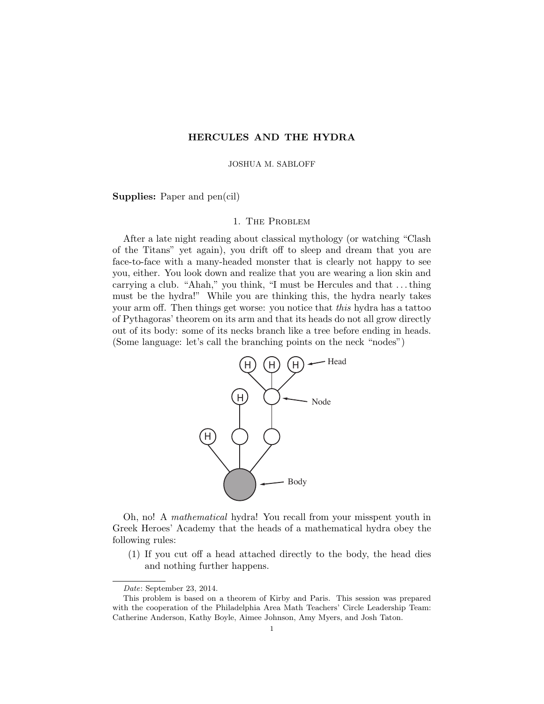# HERCULES AND THE HYDRA

#### JOSHUA M. SABLOFF

Supplies: Paper and pen(cil)

### 1. The Problem

After a late night reading about classical mythology (or watching "Clash of the Titans" yet again), you drift off to sleep and dream that you are face-to-face with a many-headed monster that is clearly not happy to see you, either. You look down and realize that you are wearing a lion skin and carrying a club. "Ahah," you think, "I must be Hercules and that . . . thing must be the hydra!" While you are thinking this, the hydra nearly takes your arm off. Then things get worse: you notice that this hydra has a tattoo of Pythagoras' theorem on its arm and that its heads do not all grow directly out of its body: some of its necks branch like a tree before ending in heads. (Some language: let's call the branching points on the neck "nodes")



Oh, no! A mathematical hydra! You recall from your misspent youth in Greek Heroes' Academy that the heads of a mathematical hydra obey the following rules:

(1) If you cut off a head attached directly to the body, the head dies and nothing further happens.

Date: September 23, 2014.

This problem is based on a theorem of Kirby and Paris. This session was prepared with the cooperation of the Philadelphia Area Math Teachers' Circle Leadership Team: Catherine Anderson, Kathy Boyle, Aimee Johnson, Amy Myers, and Josh Taton.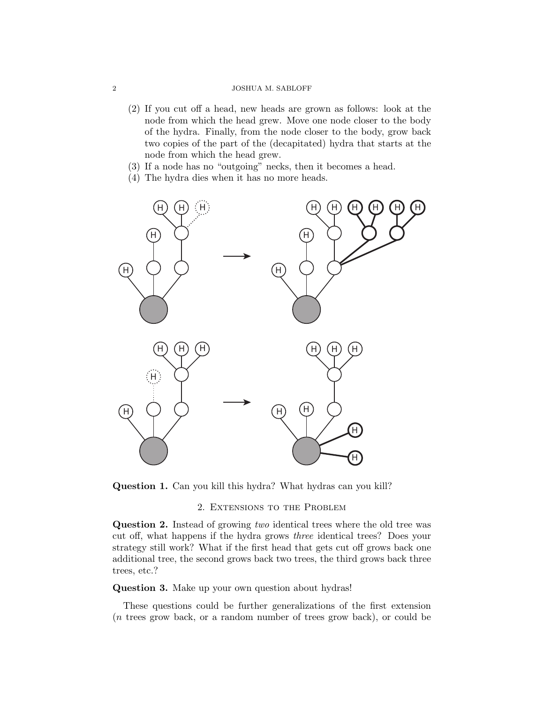#### 2 JOSHUA M. SABLOFF

- (2) If you cut off a head, new heads are grown as follows: look at the node from which the head grew. Move one node closer to the body of the hydra. Finally, from the node closer to the body, grow back two copies of the part of the (decapitated) hydra that starts at the node from which the head grew.
- (3) If a node has no "outgoing" necks, then it becomes a head.
- (4) The hydra dies when it has no more heads.



Question 1. Can you kill this hydra? What hydras can you kill?

### 2. Extensions to the Problem

Question 2. Instead of growing two identical trees where the old tree was cut off, what happens if the hydra grows three identical trees? Does your strategy still work? What if the first head that gets cut off grows back one additional tree, the second grows back two trees, the third grows back three trees, etc.?

### Question 3. Make up your own question about hydras!

These questions could be further generalizations of the first extension (n trees grow back, or a random number of trees grow back), or could be